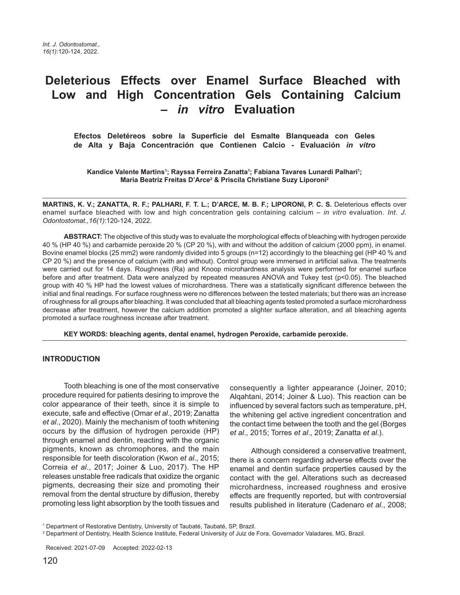# **Deleterious Effects over Enamel Surface Bleached with Low and High Concentration Gels Containing Calcium –** *in vitro* **Evaluation**

 **Efectos Deletéreos sobre la Superficie del Esmalte Blanqueada con Geles de Alta y Baja Concentración que Contienen Calcio - Evaluación** *in vitro*

Kandice Valente Martins<sup>1</sup>; Rayssa Ferreira Zanatta<sup>1</sup>; Fabiana Tavares Lunardi Palhari<sup>1</sup>; **Maria Beatriz Freitas D'Arce2 & Priscila Christiane Suzy Liporoni2**

**MARTINS, K. V.; ZANATTA, R. F.; PALHARI, F. T. L.; D'ARCE, M. B. F.; LIPORONI, P. C. S. Deleterious effects over** enamel surface bleached with low and high concentration gels containing calcium – in vitro evaluation. Int. J. Odontostomat.,16(1):120-124, 2022.

**ABSTRACT:** The objective of this study was to evaluate the morphological effects of bleaching with hydrogen peroxide 40 % (HP 40 %) and carbamide peroxide 20 % (CP 20 %), with and without the addition of calcium (2000 ppm), in enamel. Bovine enamel blocks (25 mm2) were randomly divided into 5 groups (n=12) accordingly to the bleaching gel (HP 40 % and CP 20 %) and the presence of calcium (with and without). Control group were immersed in artificial saliva. The treatments were carried out for 14 days. Roughness (Ra) and Knoop microhardness analysis were performed for enamel surface before and after treatment. Data were analyzed by repeated measures ANOVA and Tukey test (p<0.05). The bleached group with 40 % HP had the lowest values of microhardness. There was a statistically significant difference between the initial and final readings. For surface roughness were no differences between the tested materials; but there was an increase of roughness for all groups after bleaching. It was concluded that all bleaching agents tested promoted a surface microhardness decrease after treatment, however the calcium addition promoted a slighter surface alteration, and all bleaching agents promoted a surface roughness increase after treatment.

**KEY WORDS: bleaching agents, dental enamel, hydrogen Peroxide, carbamide peroxide.**

## **INTRODUCTION**

Tooth bleaching is one of the most conservative procedure required for patients desiring to improve the color appearance of their teeth, since it is simple to execute, safe and effective (Omar et al., 2019; Zanatta et al., 2020). Mainly the mechanism of tooth whitening occurs by the diffusion of hydrogen peroxide (HP) through enamel and dentin, reacting with the organic pigments, known as chromophores, and the main responsible for teeth discoloration (Kwon et al., 2015; Correia et al., 2017; Joiner & Luo, 2017). The HP releases unstable free radicals that oxidize the organic pigments, decreasing their size and promoting their removal from the dental structure by diffusion, thereby promoting less light absorption by the tooth tissues and

consequently a lighter appearance (Joiner, 2010; Alqahtani, 2014; Joiner & Luo). This reaction can be influenced by several factors such as temperature, pH, the whitening gel active ingredient concentration and the contact time between the tooth and the gel (Borges et al., 2015; Torres et al., 2019; Zanatta et al.).

Although considered a conservative treatment, there is a concern regarding adverse effects over the enamel and dentin surface properties caused by the contact with the gel. Alterations such as decreased microhardness, increased roughness and erosive effects are frequently reported, but with controversial results published in literature (Cadenaro et al., 2008;

<sup>&</sup>lt;sup>1</sup> Department of Restorative Dentistry, University of Taubaté, Taubaté, SP, Brazil.

<sup>2</sup> Department of Dentistry, Health Science Institute, Federal University of Juiz de Fora, Governador Valadares, MG, Brazil.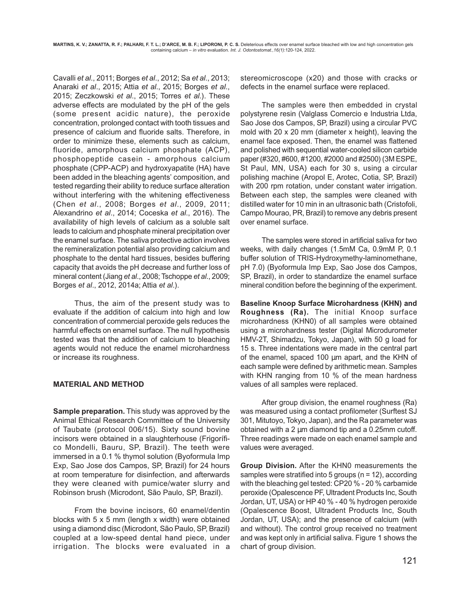Cavalli et al., 2011; Borges et al., 2012; Sa et al., 2013; Anaraki et al., 2015; Attia et al., 2015; Borges et al., 2015; Zeczkowski et al., 2015; Torres et al.). These adverse effects are modulated by the pH of the gels (some present acidic nature), the peroxide concentration, prolonged contact with tooth tissues and presence of calcium and fluoride salts. Therefore, in order to minimize these, elements such as calcium, fluoride, amorphous calcium phosphate (ACP), phosphopeptide casein - amorphous calcium phosphate (CPP-ACP) and hydroxyapatite (HA) have been added in the bleaching agents' composition, and tested regarding their ability to reduce surface alteration without interfering with the whitening effectiveness (Chen et al., 2008; Borges et al., 2009, 2011; Alexandrino et al., 2014; Coceska et al., 2016). The availability of high levels of calcium as a soluble salt leads to calcium and phosphate mineral precipitation over the enamel surface. The saliva protective action involves the remineralization potential also providing calcium and phosphate to the dental hard tissues, besides buffering capacity that avoids the pH decrease and further loss of mineral content (Jiang et al., 2008; Tschoppe et al., 2009; Borges et al., 2012, 2014a; Attia et al.).

Thus, the aim of the present study was to evaluate if the addition of calcium into high and low concentration of commercial peroxide gels reduces the harmful effects on enamel surface. The null hypothesis tested was that the addition of calcium to bleaching agents would not reduce the enamel microhardness or increase its roughness.

## **MATERIAL AND METHOD**

**Sample preparation.** This study was approved by the Animal Ethical Research Committee of the University of Taubate (protocol 006/15). Sixty sound bovine incisors were obtained in a slaughterhouse (Frigorífico Mondelli, Bauru, SP, Brazil). The teeth were immersed in a 0.1 % thymol solution (Byoformula Imp Exp, Sao Jose dos Campos, SP, Brazil) for 24 hours at room temperature for disinfection, and afterwards they were cleaned with pumice/water slurry and Robinson brush (Microdont, São Paulo, SP, Brazil).

From the bovine incisors, 60 enamel/dentin blocks with 5 x 5 mm (length x width) were obtained using a diamond disc (Microdont, São Paulo, SP, Brazil) coupled at a low-speed dental hand piece, under irrigation. The blocks were evaluated in a stereomicroscope (x20) and those with cracks or defects in the enamel surface were replaced.

The samples were then embedded in crystal polystyrene resin (Valglass Comercio e Industria Ltda, Sao Jose dos Campos, SP, Brazil) using a circular PVC mold with 20 x 20 mm (diameter x height), leaving the enamel face exposed. Then, the enamel was flattened and polished with sequential water-cooled silicon carbide paper (#320, #600, #1200, #2000 and #2500) (3M ESPE, St Paul, MN, USA) each for 30 s, using a circular polishing machine (Aropol E, Arotec, Cotia, SP, Brazil) with 200 rpm rotation, under constant water irrigation. Between each step, the samples were cleaned with distilled water for 10 min in an ultrasonic bath (Cristofoli, Campo Mourao, PR, Brazil) to remove any debris present over enamel surface.

The samples were stored in artificial saliva for two weeks, with daily changes (1.5mM Ca, 0.9mM P, 0.1 buffer solution of TRIS-Hydroxymethy-laminomethane, pH 7.0) (Byoformula Imp Exp, Sao Jose dos Campos, SP, Brazil), in order to standardize the enamel surface mineral condition before the beginning of the experiment.

**Baseline Knoop Surface Microhardness (KHN) and Roughness (Ra).** The initial Knoop surface microhardness (KHN0) of all samples were obtained using a microhardness tester (Digital Microdurometer HMV-2T, Shimadzu, Tokyo, Japan), with 50 g load for 15 s. Three indentations were made in the central part of the enamel, spaced 100 µm apart, and the KHN of each sample were defined by arithmetic mean. Samples with KHN ranging from 10 % of the mean hardness values of all samples were replaced.

After group division, the enamel roughness (Ra) was measured using a contact profilometer (Surftest SJ 301, Mitutoyo, Tokyo, Japan), and the Ra parameter was obtained with a 2  $\mu$ m diamond tip and a 0.25mm cutoff. Three readings were made on each enamel sample and values were averaged.

**Group Division.** After the KHN0 measurements the samples were stratified into 5 groups (n = 12), according with the bleaching gel tested: CP20 % - 20 % carbamide peroxide (Opalescence PF, Ultradent Products Inc, South Jordan, UT, USA) or HP 40 % - 40 % hydrogen peroxide (Opalescence Boost, Ultradent Products Inc, South Jordan, UT, USA); and the presence of calcium (with and without). The control group received no treatment and was kept only in artificial saliva. Figure 1 shows the chart of group division.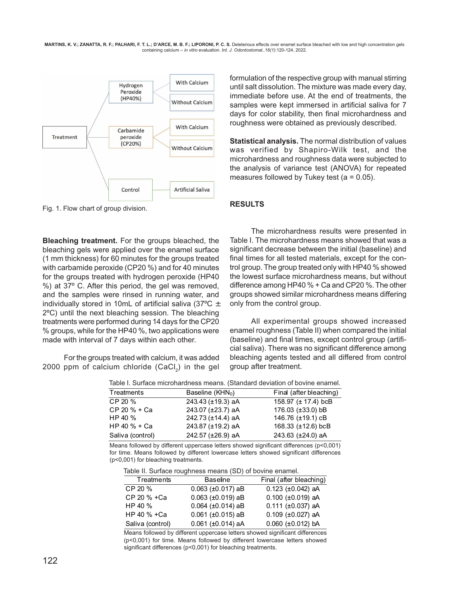**MARTINS, K. V.; ZANATTA, R. F.; PALHARI, F. T. L.; D'ARCE, M. B. F.; LIPORONI, P. C. S.** Deleterious effects over enamel surface bleached with low and high concentration gels containing calcium – in vitro evaluation. Int. J. Odontostomat.,16(1):120-124, 2022.



Fig. 1. Flow chart of group division.

**Bleaching treatment.** For the groups bleached, the bleaching gels were applied over the enamel surface (1 mm thickness) for 60 minutes for the groups treated with carbamide peroxide (CP20 %) and for 40 minutes for the groups treated with hydrogen peroxide (HP40 %) at 37º C. After this period, the gel was removed, and the samples were rinsed in running water, and individually stored in 10mL of artificial saliva (37 $^{\circ}$ C  $\pm$ 2ºC) until the next bleaching session. The bleaching treatments were performed during 14 days for the CP20 % groups, while for the HP40 %, two applications were made with interval of 7 days within each other.

For the groups treated with calcium, it was added 2000 ppm of calcium chloride  $(CaCl<sub>2</sub>)$  in the gel formulation of the respective group with manual stirring until salt dissolution. The mixture was made every day, immediate before use. At the end of treatments, the samples were kept immersed in artificial saliva for 7 days for color stability, then final microhardness and roughness were obtained as previously described.

**Statistical analysis.** The normal distribution of values was verified by Shapiro-Wilk test, and the microhardness and roughness data were subjected to the analysis of variance test (ANOVA) for repeated measures followed by Tukey test ( $a = 0.05$ ).

## **RESULTS**

The microhardness results were presented in Table I. The microhardness means showed that was a significant decrease between the initial (baseline) and final times for all tested materials, except for the control group. The group treated only with HP40 % showed the lowest surface microhardness means, but without difference among HP40 % + Ca and CP20 %. The other groups showed similar microhardness means differing only from the control group.

All experimental groups showed increased enamel roughness (Table II) when compared the initial (baseline) and final times, except control group (artificial saliva). There was no significant difference among bleaching agents tested and all differed from control group after treatment.

| Table I. Surface microhardness means. (Standard deviation of bovine enamel. |                              |                          |  |
|-----------------------------------------------------------------------------|------------------------------|--------------------------|--|
| Treatments                                                                  | Baseline (KHN <sub>0</sub> ) | Final (after bleaching)  |  |
| CP 20 %                                                                     | 243.43 (±19.3) aA            | 158.97 ( $\pm$ 17.4) bcB |  |
| CP 20 % + Ca                                                                | 243.07 (±23.7) aA            | 176.03 (±33.0) bB        |  |
| HP 40 %                                                                     | 242.73 (±14.4) aA            | 146.76 (±19.1) cB        |  |
| HP 40 % + Ca                                                                | 243.87 (±19.2) aA            | 168.33 (±12.6) bcB       |  |
| Saliva (control)                                                            | 242.57 (±26.9) aA            | 243.63 (±24.0) aA        |  |

Table I. Surface microhardness means. (Standard deviation of bovine enamel.

Means followed by different uppercase letters showed significant differences (p<0,001) for time. Means followed by different lowercase letters showed significant differences (p<0,001) for bleaching treatments.

Table II. Surface roughness means (SD) of bovine enamel.

| $\frac{1}{2}$    |                            |                            |
|------------------|----------------------------|----------------------------|
| Treatments       | <b>Baseline</b>            | Final (after bleaching)    |
| CP 20 %          | $0.063$ ( $\pm 0.017$ ) aB | $0.123$ (±0.042) aA        |
| CP 20 % +Ca      | $0.063$ ( $\pm 0.019$ ) aB | $0.100$ ( $\pm 0.019$ ) aA |
| HP 40 %          | $0.064$ ( $\pm 0.014$ ) aB | $0.111$ ( $\pm 0.037$ ) aA |
| HP 40 % +Ca      | $0.061$ ( $\pm 0.015$ ) aB | $0.109$ ( $\pm 0.027$ ) aA |
| Saliva (control) | $0.061$ ( $\pm 0.014$ ) aA | $0.060$ (±0.012) bA        |

Means followed by different uppercase letters showed significant differences (p<0,001) for time. Means followed by different lowercase letters showed significant differences (p<0,001) for bleaching treatments.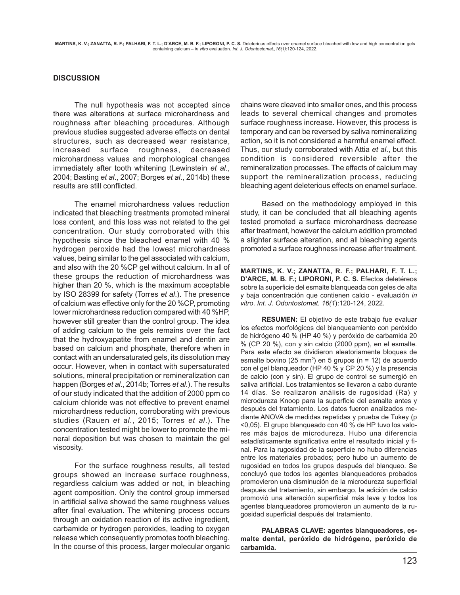## **DISCUSSION**

The null hypothesis was not accepted since there was alterations at surface microhardness and roughness after bleaching procedures. Although previous studies suggested adverse effects on dental structures, such as decreased wear resistance, increased surface roughness, decreased microhardness values and morphological changes immediately after tooth whitening (Lewinstein et al., 2004; Basting et al., 2007; Borges et al., 2014b) these results are still conflicted.

The enamel microhardness values reduction indicated that bleaching treatments promoted mineral loss content, and this loss was not related to the gel concentration. Our study corroborated with this hypothesis since the bleached enamel with 40 % hydrogen peroxide had the lowest microhardness values, being similar to the gel associated with calcium, and also with the 20 %CP gel without calcium. In all of these groups the reduction of microhardness was higher than 20 %, which is the maximum acceptable by ISO 28399 for safety (Torres et al.). The presence of calcium was effective only for the 20 %CP, promoting lower microhardness reduction compared with 40 %HP, however still greater than the control group. The idea of adding calcium to the gels remains over the fact that the hydroxyapatite from enamel and dentin are based on calcium and phosphate, therefore when in contact with an undersaturated gels, its dissolution may occur. However, when in contact with supersaturated solutions, mineral precipitation or remineralization can happen (Borges et al., 2014b; Torres et al.). The results of our study indicated that the addition of 2000 ppm co calcium chloride was not effective to prevent enamel microhardness reduction, corroborating with previous studies (Rauen et al., 2015; Torres et al.). The concentration tested might be lower to promote the mineral deposition but was chosen to maintain the gel viscosity.

For the surface roughness results, all tested groups showed an increase surface roughness, regardless calcium was added or not, in bleaching agent composition. Only the control group immersed in artificial saliva showed the same roughness values after final evaluation. The whitening process occurs through an oxidation reaction of its active ingredient, carbamide or hydrogen peroxides, leading to oxygen release which consequently promotes tooth bleaching. In the course of this process, larger molecular organic

chains were cleaved into smaller ones, and this process leads to several chemical changes and promotes surface roughness increase. However, this process is temporary and can be reversed by saliva remineralizing action, so it is not considered a harmful enamel effect. Thus, our study corroborated with Attia et al., but this condition is considered reversible after the remineralization processes. The effects of calcium may support the remineralization process, reducing bleaching agent deleterious effects on enamel surface.

Based on the methodology employed in this study, it can be concluded that all bleaching agents tested promoted a surface microhardness decrease after treatment, however the calcium addition promoted a slighter surface alteration, and all bleaching agents promoted a surface roughness increase after treatment.

**MARTINS, K. V.; ZANATTA, R. F.; PALHARI, F. T. L.; D'ARCE, M. B. F.; LIPORONI, P. C. S.** Efectos deletéreos sobre la superficie del esmalte blanqueada con geles de alta y baja concentración que contienen calcio - evaluación in vitro. Int. J. Odontostomat. 16(1):120-124, 2022.

**RESUMEN:** El objetivo de este trabajo fue evaluar los efectos morfológicos del blanqueamiento con peróxido de hidrógeno 40 % (HP 40 %) y peróxido de carbamida 20 % (CP 20 %), con y sin calcio (2000 ppm), en el esmalte. Para este efecto se dividieron aleatoriamente bloques de esmalte bovino (25 mm<sup>2</sup>) en 5 grupos (n = 12) de acuerdo con el gel blanqueador (HP 40 % y CP 20 %) y la presencia de calcio (con y sin). El grupo de control se sumergió en saliva artificial. Los tratamientos se llevaron a cabo durante 14 días. Se realizaron análisis de rugosidad (Ra) y microdureza Knoop para la superficie del esmalte antes y después del tratamiento. Los datos fueron analizados mediante ANOVA de medidas repetidas y prueba de Tukey (p <0,05). El grupo blanqueado con 40 % de HP tuvo los valores más bajos de microdureza. Hubo una diferencia estadísticamente significativa entre el resultado inicial y final. Para la rugosidad de la superficie no hubo diferencias entre los materiales probados; pero hubo un aumento de rugosidad en todos los grupos después del blanqueo. Se concluyó que todos los agentes blanqueadores probados promovieron una disminución de la microdureza superficial después del tratamiento, sin embargo, la adición de calcio promovió una alteración superficial más leve y todos los agentes blanqueadores promovieron un aumento de la rugosidad superficial después del tratamiento.

**PALABRAS CLAVE: agentes blanqueadores, esmalte dental, peróxido de hidrógeno, peróxido de carbamida.**